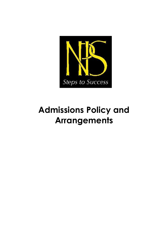

## **Admissions Policy and Arrangements**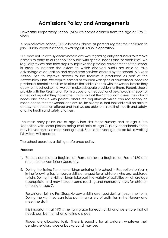## **Admissions Policy and Arrangements**

Newcastle Preparatory School (NPS) welcomes children from the age of 3 to 11 years.

A non-selective school, NPS allocates places as parents register their children to join. Usually oversubscribed, a waiting list is also in operation.

NPS does not unlawfully discriminate in any way regarding entry and seeks to remove barriers to entry to our school for pupils with special needs and/or disabilities. We regularly review and take steps to improve the physical environment of the school in order to increase the extent to which disabled pupils are able to take advantage of education and associated services offered by the school. A 3-year Action Plan to improve access to the facilities is produced as part of the Accessibility Plan. We require parents of children with special educational needs or physical or mental disabilities to discuss their child's needs with the School before they apply to the school so that we can make adequate provision for them. Parents should provide with the Registration Form a copy of an educational psychologist's report or a medical report if they have one. This is so that the School can assess their child's needs and consult with parents about the adjustments which can reasonably be made and so that the School can ensure, for example, that their child will be able to access the education offered and that we are able to ensure their health and safety, and the health and safety of others.

The main entry points are at age 3 into First Steps Nursery and at age 4 into Reception with some places being available at age 7. (Very occasionally there may be vacancies in other year groups). Should the year groups be full, a waiting list system will operate.

The school operates a sibling preference policy.

## **Process:**

- 1. Parents complete a Registration Form, enclose a Registration Fee of £50 and return to the Admissions Secretary.
- 2. During the Spring Term, for children entering into school in Reception to Year 6 in the following September, a visit is arranged for all children who are registered to join. During the visit, children take part in a variety of activities which are age appropriate and may include some reading and numeracy tasks for children entering at age 7.

For children joining First Steps Nursery a visit is arranged during the summer term. During the visit they can take part in a variety of activities in the Nursery and meet the staff.

It is important that NPS is the right place for each child and we ensure that all needs can be met when offering a place.

Places are allocated fairly. There is equality for all children whatever their gender, religion, race or background may be.